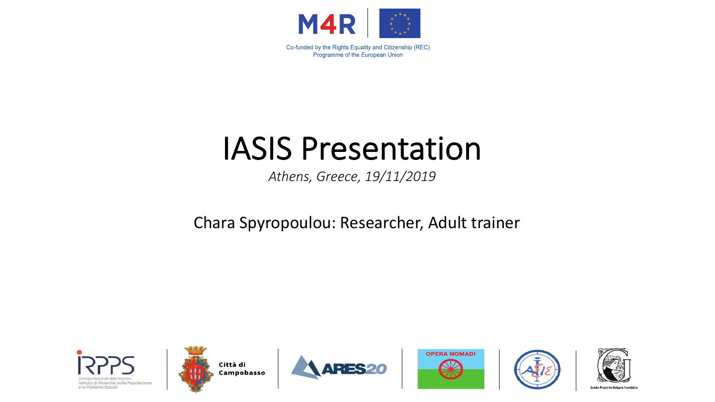

# IASIS Presentation

*Athens, Greece, 19/11/2019*

Chara Spyropoulou: Researcher, Adult trainer











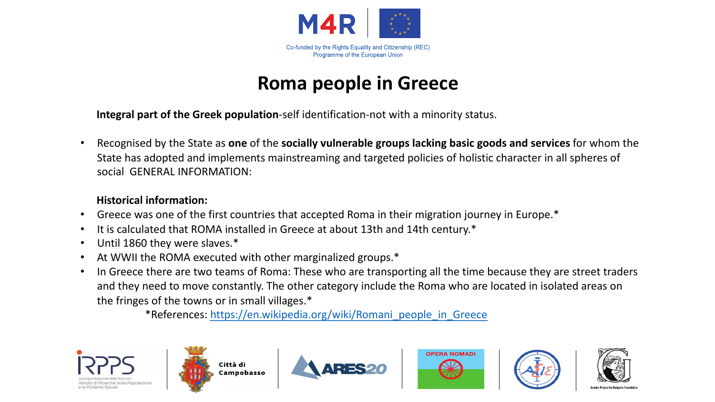

# **Roma people in Greece**

**Integral part of the Greek population**-self identification-not with a minority status.

• Recognised by the State as **one** of the **socially vulnerable groups lacking basic goods and services** for whom the State has adopted and implements mainstreaming and targeted policies of holistic character in all spheres of social GENERAL INFORMATION:

#### **Historical information:**

- Greece was one of the first countries that accepted Roma in their migration journey in Europe.\*
- It is calculated that ROMA installed in Greece at about 13th and 14th century.\*
- Until 1860 they were slaves.\*
- At WWII the ROMA executed with other marginalized groups.\*
- In Greece there are two teams of Roma: These who are transporting all the time because they are street traders and they need to move constantly. The other category include the Roma who are located in isolated areas on the fringes of the towns or in small villages.\*

\*References: [https://en.wikipedia.org/wiki/Romani\\_people\\_in\\_Greece](https://en.wikipedia.org/wiki/Romani_people_in_Greece)

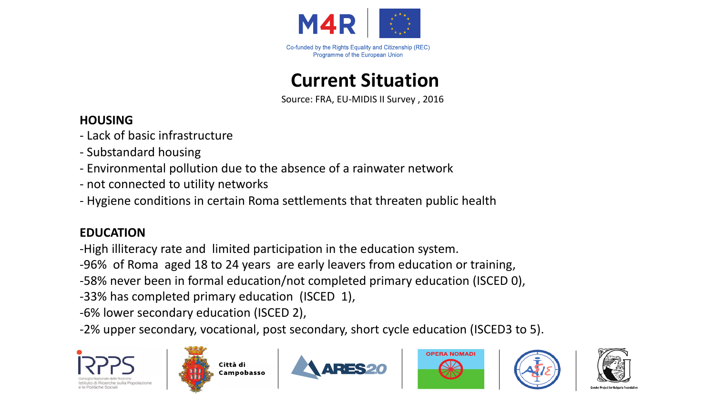

**Current Situation**

Source: FRA, EU-MIDIS II Survey , 2016

### **HOUSING**

- Lack of basic infrastructure
- Substandard housing
- Environmental pollution due to the absence of a rainwater network
- not connected to utility networks
- Hygiene conditions in certain Roma settlements that threaten public health

### **EDUCATION**

-High illiteracy rate and limited participation in the education system.

-96% of Roma aged 18 to 24 years are early leavers from education or training,

-58% never been in formal education/not completed primary education (ISCED 0),

-33% has completed primary education (ISCED 1),

-6% lower secondary education (ISCED 2),

-2% upper secondary, vocational, post secondary, short cycle education (ISCED3 to 5).











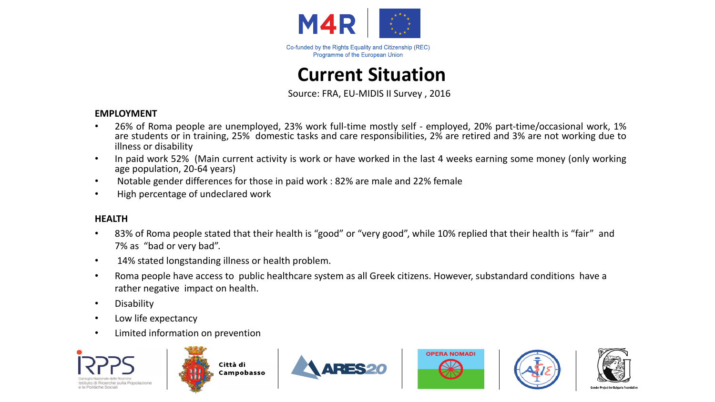

## **Current Situation**

Source: FRA, EU-MIDIS II Survey , 2016

#### **EMPLOYMENT**

- 26% of Roma people are unemployed, 23% work full-time mostly self employed, 20% part-time/occasional work, 1% are students or in training, 25% domestic tasks and care responsibilities, 2% are retired and 3% are not working due to illness or disability
- In paid work 52% (Main current activity is work or have worked in the last 4 weeks earning some money (only working age population, 20-64 years)
- Notable gender differences for those in paid work : 82% are male and 22% female
- High percentage of undeclared work

#### **HEALTH**

- 83% of Roma people stated that their health is "good" or "very good", while 10% replied that their health is "fair" and 7% as "bad or very bad".
- 14% stated longstanding illness or health problem.
- Roma people have access to public healthcare system as all Greek citizens. However, substandard conditions have a rather negative impact on health.
- Disability
- Low life expectancy
- Limited information on prevention











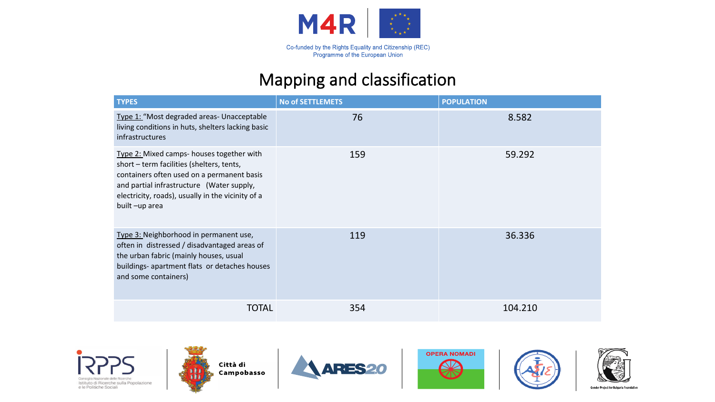

### Mapping and classification

| <b>TYPES</b>                                                                                                                                                                                                                                            | <b>No of SETTLEMETS</b> | <b>POPULATION</b> |
|---------------------------------------------------------------------------------------------------------------------------------------------------------------------------------------------------------------------------------------------------------|-------------------------|-------------------|
| Type 1: "Most degraded areas- Unacceptable<br>living conditions in huts, shelters lacking basic<br><i>infrastructures</i>                                                                                                                               | 76                      | 8.582             |
| Type 2: Mixed camps- houses together with<br>short - term facilities (shelters, tents,<br>containers often used on a permanent basis<br>and partial infrastructure (Water supply,<br>electricity, roads), usually in the vicinity of a<br>built-up area | 159                     | 59.292            |
| Type 3: Neighborhood in permanent use,<br>often in distressed / disadvantaged areas of<br>the urban fabric (mainly houses, usual<br>buildings- apartment flats or detaches houses<br>and some containers)                                               | 119                     | 36.336            |
| <b>TOTAL</b>                                                                                                                                                                                                                                            | 354                     | 104.210           |











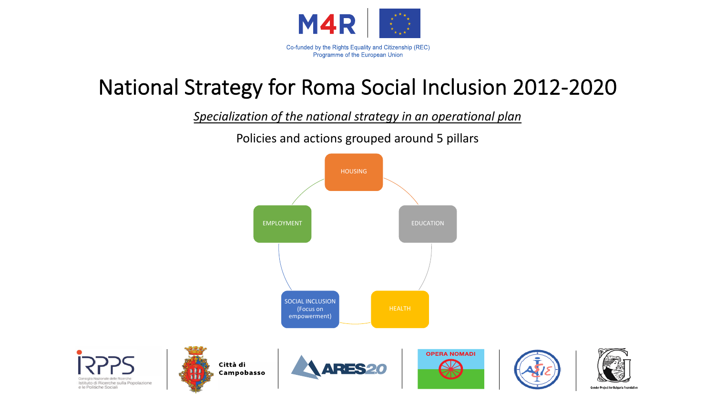

# National Strategy for Roma Social Inclusion 2012-2020

*Specialization of the national strategy in an operational plan* 

Policies and actions grouped around 5 pillars



e le Politiche Sociali

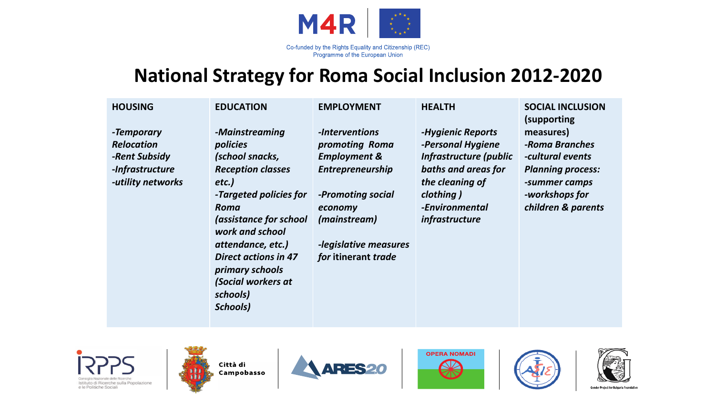

Programme of the European Union

## **National Strategy for Roma Social Inclusion 2012-2020**

| <b>HOUSING</b>    | <b>EDUCATION</b>            | <b>EMPLOYMENT</b>       | <b>HEALTH</b>          | <b>SOCIAL INCLUSION</b><br>(supporting) |
|-------------------|-----------------------------|-------------------------|------------------------|-----------------------------------------|
| -Temporary        | -Mainstreaming              | -Interventions          | -Hygienic Reports      | measures)                               |
| <b>Relocation</b> | policies                    | promoting Roma          | -Personal Hygiene      | -Roma Branches                          |
| -Rent Subsidy     | (school snacks,             | <b>Employment &amp;</b> | Infrastructure (public | -cultural events                        |
| -Infrastructure   | <b>Reception classes</b>    | <b>Entrepreneurship</b> | baths and areas for    | <b>Planning process:</b>                |
| -utility networks | etc.)                       |                         | the cleaning of        | -summer camps                           |
|                   | -Targeted policies for      | -Promoting social       | clothing)              | -workshops for                          |
|                   | Roma                        | economy                 | -Environmental         | children & parents                      |
|                   | (assistance for school      | (mainstream)            | infrastructure         |                                         |
|                   | work and school             |                         |                        |                                         |
|                   | attendance, etc.)           | -legislative measures   |                        |                                         |
|                   | <b>Direct actions in 47</b> | for itinerant trade     |                        |                                         |
|                   | primary schools             |                         |                        |                                         |
|                   | (Social workers at          |                         |                        |                                         |
|                   | schools)                    |                         |                        |                                         |
|                   | Schools)                    |                         |                        |                                         |
|                   |                             |                         |                        |                                         |